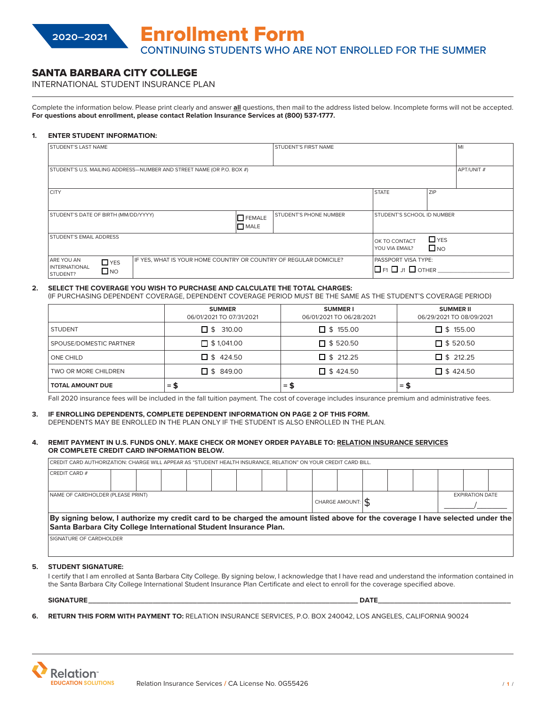# SANTA BARBARA CITY COLLEGE

INTERNATIONAL STUDENT INSURANCE PLAN

Complete the information below. Please print clearly and answer **all** questions, then mail to the address listed below. Incomplete forms will not be accepted. **For questions about enrollment, please contact Relation Insurance Services at (800) 537-1777.**

### **1. ENTER STUDENT INFORMATION:**

| <b>STUDENT'S LAST NAME</b>           |                                                                       |                               | STUDENT'S FIRST NAME              | MI             |              |  |
|--------------------------------------|-----------------------------------------------------------------------|-------------------------------|-----------------------------------|----------------|--------------|--|
|                                      |                                                                       |                               |                                   |                |              |  |
|                                      |                                                                       |                               |                                   |                |              |  |
|                                      |                                                                       |                               |                                   |                |              |  |
|                                      | STUDENT'S U.S. MAILING ADDRESS-NUMBER AND STREET NAME (OR P.O. BOX #) |                               |                                   | APT/UNIT#      |              |  |
|                                      |                                                                       |                               |                                   |                |              |  |
|                                      |                                                                       |                               |                                   |                |              |  |
|                                      |                                                                       |                               |                                   |                |              |  |
| <b>CITY</b>                          |                                                                       |                               |                                   | <b>STATE</b>   | <b>ZIP</b>   |  |
|                                      |                                                                       |                               |                                   |                |              |  |
|                                      |                                                                       |                               |                                   |                |              |  |
| STUDENT'S DATE OF BIRTH (MM/DD/YYYY) |                                                                       | <b>STUDENT'S PHONE NUMBER</b> | <b>STUDENT'S SCHOOL ID NUMBER</b> |                |              |  |
|                                      |                                                                       | $\Box$ FEMALE                 |                                   |                |              |  |
|                                      |                                                                       | MATE                          |                                   |                |              |  |
|                                      |                                                                       |                               |                                   |                |              |  |
| <b>STUDENT'S EMAIL ADDRESS</b>       |                                                                       |                               | $\Box$ YES                        |                |              |  |
|                                      | OK TO CONTACT                                                         |                               |                                   |                |              |  |
|                                      |                                                                       |                               |                                   | YOU VIA EMAIL? | $\square$ NO |  |
|                                      |                                                                       |                               |                                   |                |              |  |
| ARE YOU AN<br>$\Box$ YES             | IF YES, WHAT IS YOUR HOME COUNTRY OR COUNTRY OF REGULAR DOMICILE?     |                               | <b>PASSPORT VISA TYPE:</b>        |                |              |  |
| <b>INTERNATIONAL</b>                 |                                                                       |                               | $\Box$ F1 $\Box$ J1 $\Box$ OTHER  |                |              |  |
| $\Box$ NO<br><b>STUDENT?</b>         |                                                                       |                               |                                   |                |              |  |
|                                      |                                                                       |                               |                                   |                |              |  |

# **2. SELECT THE COVERAGE YOU WISH TO PURCHASE AND CALCULATE THE TOTAL CHARGES:**

(IF PURCHASING DEPENDENT COVERAGE, DEPENDENT COVERAGE PERIOD MUST BE THE SAME AS THE STUDENT'S COVERAGE PERIOD)

|                         | <b>SUMMER</b><br>06/01/2021 TO 07/31/2021 | <b>SUMMERI</b><br>06/01/2021 TO 06/28/2021 | <b>SUMMER II</b><br>06/29/2021 TO 08/09/2021 |
|-------------------------|-------------------------------------------|--------------------------------------------|----------------------------------------------|
| <b>STUDENT</b>          | $\Box$ \$ 310.00                          | $\Box$ \$ 155.00                           | $\Box$ \$ 155.00                             |
| SPOUSE/DOMESTIC PARTNER | $\Box$ \$ 1,041.00                        | $\Box$ \$ 520.50                           | $\Box$ \$ 520.50                             |
| <b>ONE CHILD</b>        | $\Box$ \$424.50                           | $\Box$ \$ 212.25                           | $\Box$ \$ 212.25                             |
| TWO OR MORE CHILDREN    | $\Box$ \$ 849.00                          | $\Box$ \$424.50                            | $\Box$ \$424.50                              |
| <b>TOTAL AMOUNT DUE</b> | = \$                                      | $=$ \$                                     | = \$                                         |

Fall 2020 insurance fees will be included in the fall tuition payment. The cost of coverage includes insurance premium and administrative fees.

#### **3. IF ENROLLING DEPENDENTS, COMPLETE DEPENDENT INFORMATION ON PAGE 2 OF THIS FORM.** DEPENDENTS MAY BE ENROLLED IN THE PLAN ONLY IF THE STUDENT IS ALSO ENROLLED IN THE PLAN.

#### **4. REMIT PAYMENT IN U.S. FUNDS ONLY. MAKE CHECK OR MONEY ORDER PAYABLE TO: RELATION INSURANCE SERVICES OR COMPLETE CREDIT CARD INFORMATION BELOW.**

CREDIT CARD AUTHORIZATION: CHARGE WILL APPEAR AS "STUDENT HEALTH INSURANCE, RELATION" ON YOUR CREDIT CARD BILL.

| VILLY I VIND / WILLYNE/ HIVIN VINNY는 HELYN I ENVIN VIVLENT I ENERGY HYDRINEL NEW HIVIT VIN JYVLY VINLY I WIND U                                                                                   |  |  |  |  |  |  |  |  |                  |  |                        |  |  |  |  |  |
|---------------------------------------------------------------------------------------------------------------------------------------------------------------------------------------------------|--|--|--|--|--|--|--|--|------------------|--|------------------------|--|--|--|--|--|
| <b>CREDIT CARD #</b>                                                                                                                                                                              |  |  |  |  |  |  |  |  |                  |  |                        |  |  |  |  |  |
|                                                                                                                                                                                                   |  |  |  |  |  |  |  |  |                  |  |                        |  |  |  |  |  |
|                                                                                                                                                                                                   |  |  |  |  |  |  |  |  |                  |  |                        |  |  |  |  |  |
| NAME OF CARDHOLDER (PLEASE PRINT)                                                                                                                                                                 |  |  |  |  |  |  |  |  |                  |  | <b>EXPIRATION DATE</b> |  |  |  |  |  |
|                                                                                                                                                                                                   |  |  |  |  |  |  |  |  | CHARGE AMOUNT: \ |  |                        |  |  |  |  |  |
| By signing below, I authorize my credit card to be charged the amount listed above for the coverage I have selected under the<br>Santa Barbara City College International Student Insurance Plan. |  |  |  |  |  |  |  |  |                  |  |                        |  |  |  |  |  |
| SIGNATURE OF CARDHOLDER                                                                                                                                                                           |  |  |  |  |  |  |  |  |                  |  |                        |  |  |  |  |  |

#### **5. STUDENT SIGNATURE:**

I certify that I am enrolled at Santa Barbara City College. By signing below, I acknowledge that I have read and understand the information contained in the Santa Barbara City College International Student Insurance Plan Certificate and elect to enroll for the coverage specified above.

**SIGNATURE\_\_\_\_\_\_\_\_\_\_\_\_\_\_\_\_\_\_\_\_\_\_\_\_\_\_\_\_\_\_\_\_\_\_\_\_\_\_\_\_\_\_\_\_\_\_\_\_\_\_\_\_\_\_\_\_\_\_\_\_\_\_\_\_\_\_\_ DATE\_\_\_\_\_\_\_\_\_\_\_\_\_\_\_\_\_\_\_\_\_\_\_\_\_\_\_\_\_\_\_\_\_**

- 
- **6. RETURN THIS FORM WITH PAYMENT TO:** RELATION INSURANCE SERVICES, P.O. BOX 240042, LOS ANGELES, CALIFORNIA 90024